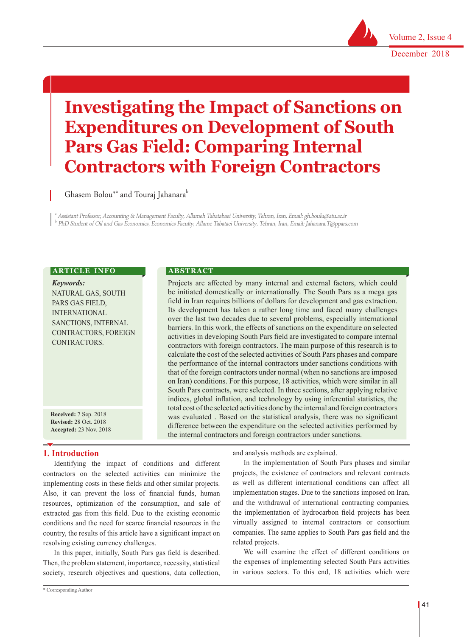

# **Investigating the Impact of Sanctions on Expenditures on Development of South Pars Gas Field: Comparing Internal Contractors with Foreign Contractors**

Ghasem Bolou $^{\ast\mathrm{a}}$  and Touraj Jahanara $^{\mathrm{b}}$ 

a Assistant Professor, Accounting & Management Faculty, Allameh Tabatabaei University, Tehran, Iran, Email: gh.boulu@atu.ac.ir b PhD Student of Oil and Gas Economics, Economics Faculty, Allame Tabataei University, Tehran, Iran, Email: Jahanara.T@ppars.com

#### **ARTICLE INFO**

*Keywords:* NATURAL GAS, SOUTH PARS GAS FIELD, INTERNATIONAL SANCTIONS, INTERNAL CONTRACTORS, FOREIGN CONTRACTORS.

**Received:** 7 Sep. 2018 **Revised:** 28 Oct. 2018 **Accepted:** 23 Nov. 2018

## **1. Introduction**

Identifying the impact of conditions and different contractors on the selected activities can minimize the implementing costs in these fields and other similar projects. Also, it can prevent the loss of financial funds, human resources, optimization of the consumption, and sale of extracted gas from this field. Due to the existing economic conditions and the need for scarce financial resources in the country, the results of this article have a significant impact on resolving existing currency challenges.

In this paper, initially, South Pars gas field is described. Then, the problem statement, importance, necessity, statistical society, research objectives and questions, data collection,

**A B S T R A C T** 

Projects are affected by many internal and external factors, which could be initiated domestically or internationally. The South Pars as a mega gas field in Iran requires billions of dollars for development and gas extraction. Its development has taken a rather long time and faced many challenges over the last two decades due to several problems, especially international barriers. In this work, the effects of sanctions on the expenditure on selected activities in developing South Pars field are investigated to compare internal contractors with foreign contractors. The main purpose of this research is to calculate the cost of the selected activities of South Pars phases and compare the performance of the internal contractors under sanctions conditions with that of the foreign contractors under normal (when no sanctions are imposed on Iran) conditions. For this purpose, 18 activities, which were similar in all South Pars contracts, were selected. In three sections, after applying relative indices, global inflation, and technology by using inferential statistics, the total cost of the selected activities done by the internal and foreign contractors was evaluated . Based on the statistical analysis, there was no significant difference between the expenditure on the selected activities performed by the internal contractors and foreign contractors under sanctions.

and analysis methods are explained.

In the implementation of South Pars phases and similar projects, the existence of contractors and relevant contracts as well as different international conditions can affect all implementation stages. Due to the sanctions imposed on Iran, and the withdrawal of international contracting companies, the implementation of hydrocarbon field projects has been virtually assigned to internal contractors or consortium companies. The same applies to South Pars gas field and the related projects.

We will examine the effect of different conditions on the expenses of implementing selected South Pars activities in various sectors. To this end, 18 activities which were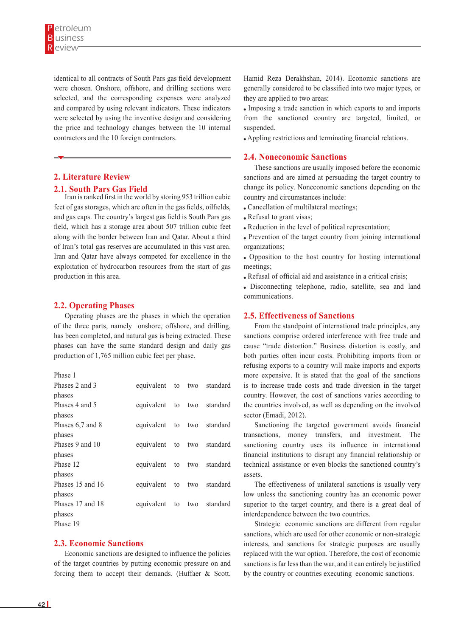identical to all contracts of South Pars gas field development were chosen. Onshore, offshore, and drilling sections were selected, and the corresponding expenses were analyzed and compared by using relevant indicators. These indicators were selected by using the inventive design and considering the price and technology changes between the 10 internal contractors and the 10 foreign contractors.

# **2. Literature Review**

## **2.1. South Pars Gas Field**

Iran is ranked first in the world by storing 953 trillion cubic feet of gas storages, which are often in the gas fields, oilfields, and gas caps. The country's largest gas field is South Pars gas field, which has a storage area about 507 trillion cubic feet along with the border between Iran and Qatar. About a third of Iran's total gas reserves are accumulated in this vast area. Iran and Qatar have always competed for excellence in the exploitation of hydrocarbon resources from the start of gas production in this area.

## **2.2. Operating Phases**

Operating phases are the phases in which the operation of the three parts, namely onshore, offshore, and drilling, has been completed, and natural gas is being extracted. These phases can have the same standard design and daily gas production of 1,765 million cubic feet per phase.

| Phases 2 and 3   | equivalent to two standard |  |  |
|------------------|----------------------------|--|--|
| phases           |                            |  |  |
| Phases 4 and 5   | equivalent to two standard |  |  |
| phases           |                            |  |  |
| Phases 6,7 and 8 | equivalent to two standard |  |  |
| phases           |                            |  |  |
| Phases 9 and 10  | equivalent to two standard |  |  |
| phases           |                            |  |  |
| Phase 12         | equivalent to two standard |  |  |
| phases           |                            |  |  |
| Phases 15 and 16 | equivalent to two standard |  |  |
| phases           |                            |  |  |
| Phases 17 and 18 | equivalent to two standard |  |  |
| phases           |                            |  |  |
| Phase 19         |                            |  |  |

#### **2.3. Economic Sanctions**

Economic sanctions are designed to influence the policies of the target countries by putting economic pressure on and forcing them to accept their demands. (Huffaer & Scott, Hamid Reza Derakhshan, 2014). Economic sanctions are generally considered to be classified into two major types, or they are applied to two areas:

 Imposing a trade sanction in which exports to and imports from the sanctioned country are targeted, limited, or suspended.

Appling restrictions and terminating financial relations.

#### **2.4. Noneconomic Sanctions**

These sanctions are usually imposed before the economic sanctions and are aimed at persuading the target country to change its policy. Noneconomic sanctions depending on the country and circumstances include:

- Cancellation of multilateral meetings;
- Refusal to grant visas;
- Reduction in the level of political representation;
- Prevention of the target country from joining international organizations;
- Opposition to the host country for hosting international meetings;
- Refusal of official aid and assistance in a critical crisis;
- Disconnecting telephone, radio, satellite, sea and land communications.

#### **2.5. Effectiveness of Sanctions**

From the standpoint of international trade principles, any sanctions comprise ordered interference with free trade and cause "trade distortion." Business distortion is costly, and both parties often incur costs. Prohibiting imports from or refusing exports to a country will make imports and exports more expensive. It is stated that the goal of the sanctions is to increase trade costs and trade diversion in the target country. However, the cost of sanctions varies according to the countries involved, as well as depending on the involved sector (Emadi, 2012).

Sanctioning the targeted government avoids financial transactions, money transfers, and investment. The sanctioning country uses its influence in international financial institutions to disrupt any financial relationship or technical assistance or even blocks the sanctioned country's assets.

The effectiveness of unilateral sanctions is usually very low unless the sanctioning country has an economic power superior to the target country, and there is a great deal of interdependence between the two countries.

Strategic economic sanctions are different from regular sanctions, which are used for other economic or non-strategic interests, and sanctions for strategic purposes are usually replaced with the war option. Therefore, the cost of economic sanctions is far less than the war, and it can entirely be justified by the country or countries executing economic sanctions.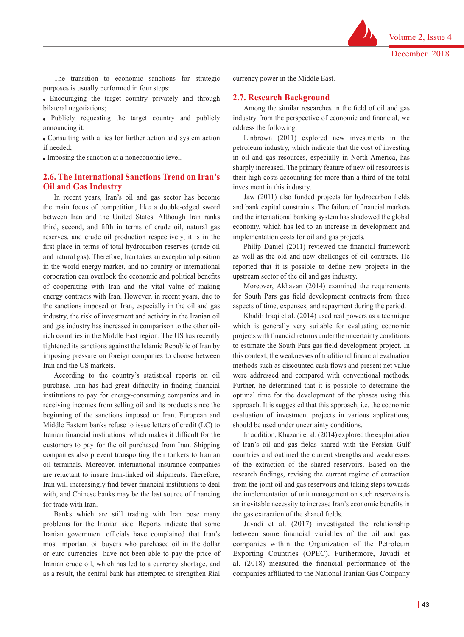The transition to economic sanctions for strategic purposes is usually performed in four steps:

 Encouraging the target country privately and through bilateral negotiations;

 Publicly requesting the target country and publicly announcing it;

 Consulting with allies for further action and system action if needed;

Imposing the sanction at a noneconomic level.

# **2.6. The International Sanctions Trend on Iran's Oil and Gas Industry**

In recent years, Iran's oil and gas sector has become the main focus of competition, like a double-edged sword between Iran and the United States. Although Iran ranks third, second, and fifth in terms of crude oil, natural gas reserves, and crude oil production respectively, it is in the first place in terms of total hydrocarbon reserves (crude oil and natural gas). Therefore, Iran takes an exceptional position in the world energy market, and no country or international corporation can overlook the economic and political benefits of cooperating with Iran and the vital value of making energy contracts with Iran. However, in recent years, due to the sanctions imposed on Iran, especially in the oil and gas industry, the risk of investment and activity in the Iranian oil and gas industry has increased in comparison to the other oilrich countries in the Middle East region. The US has recently tightened its sanctions against the Islamic Republic of Iran by imposing pressure on foreign companies to choose between Iran and the US markets.

According to the country's statistical reports on oil purchase, Iran has had great difficulty in finding financial institutions to pay for energy-consuming companies and in receiving incomes from selling oil and its products since the beginning of the sanctions imposed on Iran. European and Middle Eastern banks refuse to issue letters of credit (LC) to Iranian financial institutions, which makes it difficult for the customers to pay for the oil purchased from Iran. Shipping companies also prevent transporting their tankers to Iranian oil terminals. Moreover, international insurance companies are reluctant to insure Iran-linked oil shipments. Therefore, Iran will increasingly find fewer financial institutions to deal with, and Chinese banks may be the last source of financing for trade with Iran.

Banks which are still trading with Iran pose many problems for the Iranian side. Reports indicate that some Iranian government officials have complained that Iran's most important oil buyers who purchased oil in the dollar or euro currencies have not been able to pay the price of Iranian crude oil, which has led to a currency shortage, and as a result, the central bank has attempted to strengthen Rial currency power in the Middle East.

#### **2.7. Research Background**

Among the similar researches in the field of oil and gas industry from the perspective of economic and financial, we address the following.

Linbrown (2011) explored new investments in the petroleum industry, which indicate that the cost of investing in oil and gas resources, especially in North America, has sharply increased. The primary feature of new oil resources is their high costs accounting for more than a third of the total investment in this industry.

Jaw (2011) also funded projects for hydrocarbon fields and bank capital constraints. The failure of financial markets and the international banking system has shadowed the global economy, which has led to an increase in development and implementation costs for oil and gas projects.

Philip Daniel (2011) reviewed the financial framework as well as the old and new challenges of oil contracts. He reported that it is possible to define new projects in the upstream sector of the oil and gas industry.

Moreover, Akhavan (2014) examined the requirements for South Pars gas field development contracts from three aspects of time, expenses, and repayment during the period.

Khalili Iraqi et al. (2014) used real powers as a technique which is generally very suitable for evaluating economic projects with financial returns under the uncertainty conditions to estimate the South Pars gas field development project. In this context, the weaknesses of traditional financial evaluation methods such as discounted cash flows and present net value were addressed and compared with conventional methods. Further, he determined that it is possible to determine the optimal time for the development of the phases using this approach. It is suggested that this approach, i.e. the economic evaluation of investment projects in various applications, should be used under uncertainty conditions.

In addition, Khazani et al. (2014) explored the exploitation of Iran's oil and gas fields shared with the Persian Gulf countries and outlined the current strengths and weaknesses of the extraction of the shared reservoirs. Based on the research findings, revising the current regime of extraction from the joint oil and gas reservoirs and taking steps towards the implementation of unit management on such reservoirs is an inevitable necessity to increase Iran's economic benefits in the gas extraction of the shared fields.

Javadi et al. (2017) investigated the relationship between some financial variables of the oil and gas companies within the Organization of the Petroleum Exporting Countries (OPEC). Furthermore, Javadi et al. (2018) measured the financial performance of the companies affiliated to the National Iranian Gas Company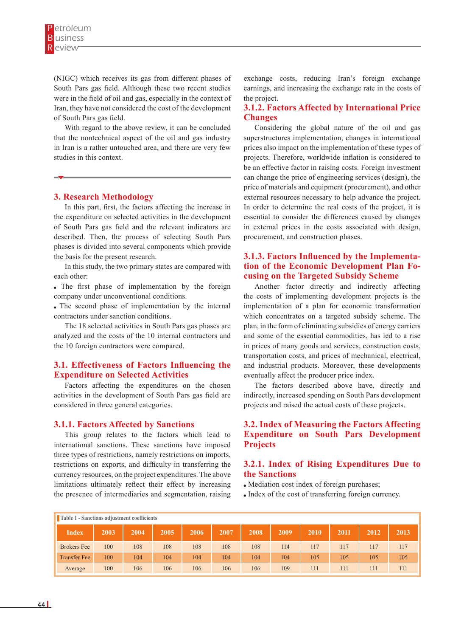(NIGC) which receives its gas from different phases of South Pars gas field. Although these two recent studies were in the field of oil and gas, especially in the context of Iran, they have not considered the cost of the development of South Pars gas field.

With regard to the above review, it can be concluded that the nontechnical aspect of the oil and gas industry in Iran is a rather untouched area, and there are very few studies in this context.

#### **3. Research Methodology**

In this part, first, the factors affecting the increase in the expenditure on selected activities in the development of South Pars gas field and the relevant indicators are described. Then, the process of selecting South Pars phases is divided into several components which provide the basis for the present research.

In this study, the two primary states are compared with each other:

 The first phase of implementation by the foreign company under unconventional conditions.

 The second phase of implementation by the internal contractors under sanction conditions.

The 18 selected activities in South Pars gas phases are analyzed and the costs of the 10 internal contractors and the 10 foreign contractors were compared.

# **3.1. Effectiveness of Factors Influencing the Expenditure on Selected Activities**

Factors affecting the expenditures on the chosen activities in the development of South Pars gas field are considered in three general categories.

#### **3.1.1. Factors Affected by Sanctions**

This group relates to the factors which lead to international sanctions. These sanctions have imposed three types of restrictions, namely restrictions on imports, restrictions on exports, and difficulty in transferring the currency resources, on the project expenditures. The above limitations ultimately reflect their effect by increasing the presence of intermediaries and segmentation, raising

exchange costs, reducing Iran's foreign exchange earnings, and increasing the exchange rate in the costs of the project.

## **3.1.2. Factors Affected by International Price Changes**

Considering the global nature of the oil and gas superstructures implementation, changes in international prices also impact on the implementation of these types of projects. Therefore, worldwide inflation is considered to be an effective factor in raising costs. Foreign investment can change the price of engineering services (design), the price of materials and equipment (procurement), and other external resources necessary to help advance the project. In order to determine the real costs of the project, it is essential to consider the differences caused by changes in external prices in the costs associated with design, procurement, and construction phases.

## **3.1.3. Factors Influenced by the Implementation of the Economic Development Plan Focusing on the Targeted Subsidy Scheme**

Another factor directly and indirectly affecting the costs of implementing development projects is the implementation of a plan for economic transformation which concentrates on a targeted subsidy scheme. The plan, in the form of eliminating subsidies of energy carriers and some of the essential commodities, has led to a rise in prices of many goods and services, construction costs, transportation costs, and prices of mechanical, electrical, and industrial products. Moreover, these developments eventually affect the producer price index.

The factors described above have, directly and indirectly, increased spending on South Pars development projects and raised the actual costs of these projects.

# **3.2. Index of Measuring the Factors Affecting Expenditure on South Pars Development Projects**

## **3.2.1. Index of Rising Expenditures Due to the Sanctions**

- Mediation cost index of foreign purchases;
- Index of the cost of transferring foreign currency.

|                     | Table 1 - Sanctions adjustment coefficients |      |      |      |      |      |      |      |      |      |      |  |  |
|---------------------|---------------------------------------------|------|------|------|------|------|------|------|------|------|------|--|--|
| <b>Index</b>        | 2003                                        | 2004 | 2005 | 2006 | 2007 | 2008 | 2009 | 2010 | 2011 | 2012 | 2013 |  |  |
| <b>Brokers</b> Fee  | 100                                         | 108  | 108  | 108  | 108  | 108  | 114  | 117  | 117  | 117  | 117  |  |  |
| <b>Transfer Fee</b> | 100                                         | 104  | 104  | 104  | 104  | 104  | 104  | 105  | 105  | 105  | 105  |  |  |
| Average             | 100                                         | 106  | 106  | 106  | 106  | 106  | 109  | 111  | 111  | 111  | 111  |  |  |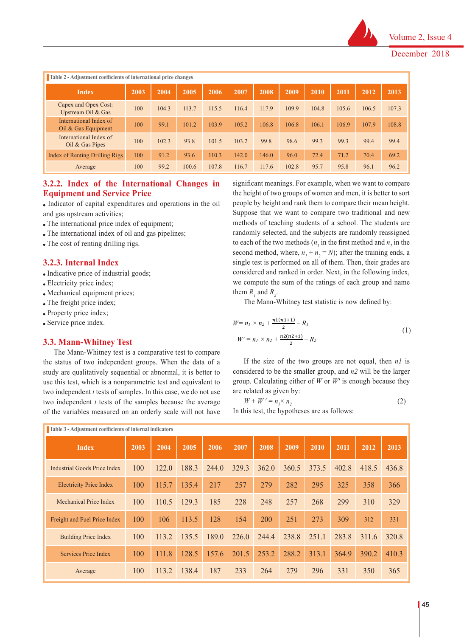

| Table 2 - Adjustment coefficients of international price changes |      |       |       |       |       |       |       |       |       |       |       |
|------------------------------------------------------------------|------|-------|-------|-------|-------|-------|-------|-------|-------|-------|-------|
| <b>Index</b>                                                     | 2003 | 2004  | 2005  | 2006  | 2007  | 2008  | 2009  | 2010  | 2011  | 2012  | 2013  |
| Capex and Opex Cost:<br>Upstream Oil & Gas                       | 100  | 104.3 | 113.7 | 115.5 | 116.4 | 117.9 | 109.9 | 104.8 | 105.6 | 106.5 | 107.3 |
| International Index of<br>Oil $&$ Gas Equipment                  | 100  | 99.1  | 101.2 | 103.9 | 105.2 | 106.8 | 106.8 | 106.1 | 106.9 | 107.9 | 108.8 |
| International Index of<br>$Oil \&$ Gas Pipes                     | 100  | 102.3 | 93.8  | 101.5 | 103.2 | 99.8  | 98.6  | 99.3  | 99.3  | 99.4  | 99.4  |
| Index of Renting Drilling Rigs                                   | 100  | 91.2  | 93.6  | 110.3 | 142.0 | 146.0 | 96.0  | 72.4  | 71.2  | 70.4  | 69.2  |
| Average                                                          | 100  | 99.2  | 100.6 | 107.8 | 116.7 | 117.6 | 102.8 | 95.7  | 95.8  | 96.1  | 96.2  |

# **3.2.2. Index of the International Changes in Equipment and Service Price**

 Indicator of capital expenditures and operations in the oil and gas upstream activities;

- The international price index of equipment;
- The international index of oil and gas pipelines;
- The cost of renting drilling rigs.

#### **3.2.3. Internal Index**

- Indicative price of industrial goods;
- Electricity price index;
- Mechanical equipment prices;
- The freight price index;
- Property price index;
- Service price index.

# **3.3. Mann-Whitney Test**

The Mann-Whitney test is a comparative test to compare the status of two independent groups. When the data of a study are qualitatively sequential or abnormal, it is better to use this test, which is a nonparametric test and equivalent to two independent  $t$  tests of samples. In this case, we do not use two independent *t* tests of the samples because the average of the variables measured on an orderly scale will not have

significant meanings. For example, when we want to compare the height of two groups of women and men, it is better to sort people by height and rank them to compare their mean height. Suppose that we want to compare two traditional and new methods of teaching students of a school. The students are randomly selected, and the subjects are randomly reassigned to each of the two methods  $(n_i)$  in the first method and  $n_2$  in the second method, where,  $n_1 + n_2 = N$ ); after the training ends, a single test is performed on all of them. Then, their grades are considered and ranked in order. Next, in the following index, we compute the sum of the ratings of each group and name them  $R_i$  and  $R_i$ .

The Mann-Whitney test statistic is now defined by:

$$
W = n_1 \times n_2 + \frac{n_1(n_1+1)}{2} - R_1
$$
  

$$
W' = n_1 \times n_2 + \frac{n_2(n_2+1)}{2} - R_2
$$
 (1)

s. When the data of a considered to be the two groups are not equal, then  $n_1$  is abnormal, it is better to considered to be the smaller group, and  $n_2$  will be the larger  $\alpha$  is extended to group. Calculating either of *W* or *W'* is enough because they is the stand equivalent to group. Calculating either of *W* or *W'* is enough because they If the size of the two groups are not equal, then *n1* is are related as given by:

$$
W + W' = n_1 \times n_2 \tag{2}
$$

In this test, the hypotheses are as follows:

| Table 3 - Adjustment coefficients of internal indicators |      |       |       |       |       |       |       |       |       |       |       |
|----------------------------------------------------------|------|-------|-------|-------|-------|-------|-------|-------|-------|-------|-------|
| <b>Index</b>                                             | 2003 | 2004  | 2005  | 2006  | 2007  | 2008  | 2009  | 2010  | 2011  | 2012  | 2013  |
| Industrial Goods Price Index                             | 100  | 122.0 | 188.3 | 244.0 | 329.3 | 362.0 | 360.5 | 373.5 | 402.8 | 418.5 | 436.8 |
| <b>Electricity Price Index</b>                           | 100  | 115.7 | 135.4 | 217   | 257   | 279   | 282   | 295   | 325   | 358   | 366   |
| Mechanical Price Index                                   | 100  | 110.5 | 129.3 | 185   | 228   | 248   | 257   | 268   | 299   | 310   | 329   |
| Freight and Fuel Price Index                             | 100  | 106   | 113.5 | 128   | 154   | 200   | 251   | 273   | 309   | 312   | 331   |
| <b>Building Price Index</b>                              | 100  | 113.2 | 135.5 | 189.0 | 226.0 | 244.4 | 238.8 | 251.1 | 283.8 | 311.6 | 320.8 |
| Services Price Index                                     | 100  | 111.8 | 128.5 | 157.6 | 201.5 | 253.2 | 288.2 | 313.1 | 364.9 | 390.2 | 410.3 |
| Average                                                  | 100  | 113.2 | 138.4 | 187   | 233   | 264   | 279   | 296   | 331   | 350   | 365   |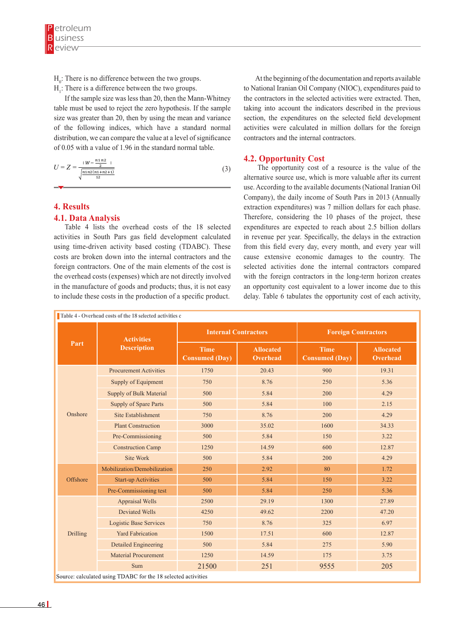**H0**: There is no difference between the two groups.

- $H_0$ : There is no difference between the two groups.
- $H_1$ : There is a difference between the two groups.

If the sample size was less than 20, then the Mann-Whitney table must be used to reject the zero hypothesis. If the sample table must be used to reject the zero hypothesis. If the sample size was greater than 20, then by using the mean and variance of the following indices, which have a standard normal distribution, we can compare the value at a level of significance of 0.05 with a value of 1.96 in the standard normal table.

$$
U = Z = \frac{W - \frac{n1 n^2}{2}}{\sqrt{\frac{n1 n^2 (n1 + n^2 + 1)}{12}}} \tag{3}
$$

# **4. Results**

#### **4.1. Data Analysis**

activities in South Pars gas field development calculated Table 4 lists the overhead costs of the 18 selected using time-driven activity based costing (TDABC). These costs are broken down into the internal contractors and the foreign contractors. One of the main elements of the cost is the overhead costs (expenses) which are not directly involved in the manufacture of goods and products; thus, it is not easy to include these costs in the production of a specific product.

 At the beginning of the documentation and reports available to National Iranian Oil Company (NIOC), expenditures paid to the contractors in the selected activities were extracted. Then, taking into account the indicators described in the previous section, the expenditures on the selected field development activities were calculated in million dollars for the foreign contractors and the internal contractors.

#### **4.2. Opportunity Cost**

 The opportunity cost of a resource is the value of the alternative source use, which is more valuable after its current use. According to the available documents (National Iranian Oil Company), the daily income of South Pars in 2013 (Annually extraction expenditures) was 7 million dollars for each phase. Therefore, considering the 10 phases of the project, these expenditures are expected to reach about 2.5 billion dollars in revenue per year. Specifically, the delays in the extraction from this field every day, every month, and every year will cause extensive economic damages to the country. The selected activities done the internal contractors compared with the foreign contractors in the long-term horizon creates an opportunity cost equivalent to a lower income due to this delay. Table 6 tabulates the opportunity cost of each activity,

|          | <b>Activities</b>              | <b>Internal Contractors</b>          |                                     | <b>Foreign Contractors</b>           |                                     |
|----------|--------------------------------|--------------------------------------|-------------------------------------|--------------------------------------|-------------------------------------|
| Part     | <b>Description</b>             | <b>Time</b><br><b>Consumed (Day)</b> | <b>Allocated</b><br><b>Overhead</b> | <b>Time</b><br><b>Consumed (Day)</b> | <b>Allocated</b><br><b>Overhead</b> |
|          | <b>Procurement Activities</b>  | 1750                                 | 20.43                               | 900                                  | 19.31                               |
|          | Supply of Equipment            | 750                                  | 8.76                                | 250                                  | 5.36                                |
|          | <b>Supply of Bulk Material</b> | 500                                  | 5.84                                | 200                                  | 4.29                                |
|          | <b>Supply of Spare Parts</b>   | 500                                  | 5.84                                | 100                                  | 2.15                                |
| Onshore  | Site Establishment             | 750                                  | 8.76                                | 200                                  | 4.29                                |
|          | <b>Plant Construction</b>      | 3000                                 | 35.02                               | 1600                                 | 34.33                               |
|          | Pre-Commissioning              | 500                                  | 5.84                                | 150                                  | 3.22                                |
|          | <b>Construction Camp</b>       | 1250                                 | 14.59                               | 600                                  | 12.87                               |
|          | Site Work                      | 500                                  | 5.84                                | 200                                  | 4.29                                |
|          | Mobilization/Demobilization    | 250                                  | 2.92                                | 80                                   | 1.72                                |
| Offshore | <b>Start-up Activities</b>     | 500                                  | 5.84                                | 150                                  | 3.22                                |
|          | Pre-Commissioning test         | 500                                  | 5.84                                | 250                                  | 5.36                                |
|          | <b>Appraisal Wells</b>         | 2500                                 | 29.19                               | 1300                                 | 27.89                               |
|          | <b>Deviated Wells</b>          | 4250                                 | 49.62                               | 2200                                 | 47.20                               |
|          | <b>Logistic Base Services</b>  | 750                                  | 8.76                                | 325                                  | 6.97                                |
| Drilling | <b>Yard Fabrication</b>        | 1500                                 | 17.51                               | 600                                  | 12.87                               |
|          | <b>Detailed Engineering</b>    | 500                                  | 5.84                                | 275                                  | 5.90                                |
|          | <b>Material Procurement</b>    | 1250                                 | 14.59                               | 175                                  | 3.75                                |
|          | Sum                            | 21500                                | 251                                 | 9555                                 | 205                                 |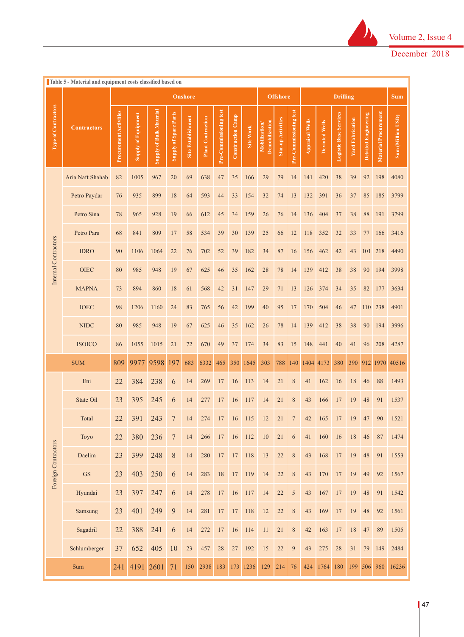

۷

|                            | Table 5 - Material and equipment costs classified based on |                               |                            |                                |                              | <b>Onshore</b>     |                          |                        |                          |           |                                 | <b>Offshore</b>    |                        |                        |                       | <b>Drilling</b>               |                         |                      |                             | <b>Sum</b>        |
|----------------------------|------------------------------------------------------------|-------------------------------|----------------------------|--------------------------------|------------------------------|--------------------|--------------------------|------------------------|--------------------------|-----------|---------------------------------|--------------------|------------------------|------------------------|-----------------------|-------------------------------|-------------------------|----------------------|-----------------------------|-------------------|
| <b>Type of Contractors</b> | <b>Contractors</b>                                         | <b>Procurement Activities</b> | <b>Supply of Equipment</b> | <b>Supply of Bulk Material</b> | <b>Supply of Spare Parts</b> | Site Establishment | <b>Plant Contraction</b> | Pre-Commissioning test | <b>Construction Camp</b> | Site Work | Demobilization<br>Mobilization/ | Star-up Activities | Pre-Commissioning test | <b>Appraisal Wells</b> | <b>Deviated Wells</b> | <b>Logistic Base Services</b> | <b>Yard Fabrication</b> | Detailed Engineering | <b>Material Procurement</b> | Sum (Million USD) |
|                            | Aria Naft Shahab                                           | 82                            | 1005                       | 967                            | 20                           | 69                 | 638                      | 47                     | 35                       | 166       | 29                              | 79                 | 14                     | 141                    | 420                   | 38                            | 39                      | 92                   | 198                         | 4080              |
|                            | Petro Paydar                                               | 76                            | 935                        | 899                            | 18                           | 64                 | 593                      | 44                     | 33                       | 154       | 32                              | 74                 | 13                     | 132                    | 391                   | 36                            | 37                      | 85                   | 185                         | 3799              |
|                            | Petro Sina                                                 | 78                            | 965                        | 928                            | 19                           | 66                 | 612                      | 45                     | 34                       | 159       | 26                              | 76                 | 14                     | 136                    | 404                   | 37                            | 38                      | 88                   | 191                         | 3799              |
|                            | Petro Pars                                                 | 68                            | 841                        | 809                            | 17                           | 58                 | 534                      | 39                     | 30                       | 139       | 25                              | 66                 | 12                     | 118                    | 352                   | 32                            | 33                      | 77                   | 166                         | 3416              |
| Internal Contractors       | <b>IDRO</b>                                                | 90                            | 1106                       | 1064                           | 22                           | 76                 | 702                      | 52                     | 39                       | 182       | 34                              | 87                 | 16                     | 156                    | 462                   | 42                            | 43                      | 101                  | 218                         | 4490              |
|                            | <b>OIEC</b>                                                | 80                            | 985                        | 948                            | 19                           | 67                 | 625                      | 46                     | 35                       | 162       | 28                              | 78                 | 14                     | 139                    | 412                   | 38                            | 38                      | 90                   | 194                         | 3998              |
|                            | <b>MAPNA</b>                                               | 73                            | 894                        | 860                            | 18                           | 61                 | 568                      | 42                     | 31                       | 147       | 29                              | 71                 | 13                     | 126                    | 374                   | 34                            | 35                      | 82                   | 177                         | 3634              |
|                            | <b>IOEC</b>                                                | 98                            | 1206                       | 1160                           | 24                           | 83                 | 765                      | 56                     | 42                       | 199       | 40                              | 95                 | 17                     | 170                    | 504                   | 46                            | 47                      | 110                  | 238                         | 4901              |
|                            | <b>NIDC</b>                                                | 80                            | 985                        | 948                            | 19                           | 67                 | 625                      | 46                     | 35                       | 162       | 26                              | 78                 | 14                     | 139                    | 412                   | 38                            | 38                      | 90                   | 194                         | 3996              |
|                            | <b>ISOICO</b>                                              | 86                            | 1055                       | 1015                           | 21                           | 72                 | 670                      | 49                     | 37                       | 174       | 34                              | 83                 | 15                     | 148                    | 441                   | 40                            | 41                      | 96                   | 208                         | 4287              |
|                            | <b>SUM</b>                                                 | 809                           | 9977                       | 9598                           | 197                          | 683                | 6332                     | 465                    | 350                      | 1645      | 303                             | 788                | 140                    | 1404                   | 4173                  | 380                           | 390                     |                      | 912 1970                    | 40516             |
|                            | Eni                                                        | 22                            | 384                        | 238                            | 6                            | 14                 | 269                      | 17                     | 16                       | 113       | 14                              | 21                 | $\,$ 8 $\,$            | 41                     | 162                   | 16                            | 18                      | 46                   | 88                          | 1493              |
|                            | State Oil                                                  | 23                            | 395                        | 245                            | 6                            | 14                 | 277                      | 17                     | 16                       | 117       | 14                              | 21                 | $\,$ 8 $\,$            | 43                     | 166                   | 17                            | 19                      | 48                   | 91                          | 1537              |
|                            | Total                                                      | 22                            | 391                        | 243                            | $\boldsymbol{7}$             | 14                 | 274                      | 17                     | 16                       | 115       | 12                              | 21                 | $\overline{7}$         | 42                     | 165                   | 17                            | 19                      | 47                   | 90                          | 1521              |
|                            | Toyo                                                       | 22                            | 380                        | 236                            | $\overline{7}$               | 14                 | 266                      | 17                     | 16                       | 112       | 10                              | 21                 | 6                      | 41                     | 160                   | 16                            | 18                      | 46                   | 87                          | 1474              |
| Foreign Contractors        | Daelim                                                     | 23                            | 399                        | 248                            | $\,8\,$                      | 14                 | 280                      | $17\,$                 | 17                       | 118       | 13                              | $22\,$             | $\,$ 8 $\,$            | 43                     | 168                   | 17                            | 19                      | 48                   | 91                          | 1553              |
|                            | <b>GS</b>                                                  | 23                            | 403                        | 250                            | 6                            | 14                 | 283                      | $18\,$                 | 17                       | 119       | 14                              | $22\,$             | $\,$ 8 $\,$            | 43                     | 170                   | 17                            | 19                      | 49                   | 92                          | 1567              |
|                            | Hyundai                                                    | 23                            | 397                        | 247                            | 6                            | 14                 | 278                      | $17\,$                 | 16                       | 117       | 14                              | $22\,$             | $\sqrt{5}$             | 43                     | 167                   | 17                            | 19                      | 48                   | 91                          | 1542              |
|                            | Samsung                                                    | 23                            | 401                        | 249                            | 9                            | 14                 | 281                      | $17\,$                 | 17                       | 118       | 12                              | $22\,$             | $\,$ $\,$              | 43                     | 169                   | 17                            | 19                      | 48                   | 92                          | 1561              |
|                            | Sagadril                                                   | 22                            | 388                        | 241                            | 6                            | 14                 | 272                      | $17\,$                 | 16                       | 114       | 11                              | 21                 | $\,$ 8 $\,$            | 42                     | 163                   | 17                            | 18                      | 47                   | 89                          | 1505              |
|                            | Schlumberger                                               | 37                            | 652                        | 405                            | 10                           | 23                 | 457                      | $28\,$                 | $27\,$                   | 192       | 15                              | $22\,$             | $\overline{9}$         | 43                     | 275                   | 28                            | 31                      | 79                   | 149                         | 2484              |
|                            | Sum                                                        | 241                           | 4191                       | 2601                           | 71                           | 150                | 2938                     | 183                    | 173                      | 1236      | 129                             | 214                | 76                     | 424                    | 1764                  | 180                           | 199                     | 506                  | 960                         | 16236             |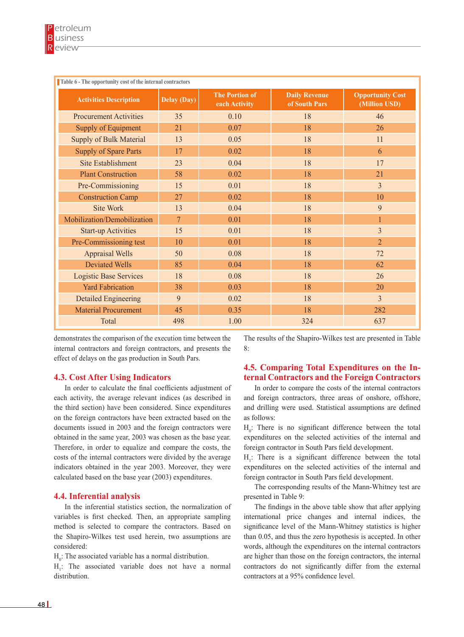| Table 6 - The opportunity cost of the internal contractors |                |                                        |                                       |                                          |
|------------------------------------------------------------|----------------|----------------------------------------|---------------------------------------|------------------------------------------|
| <b>Activities Description</b>                              | Delay (Day)    | <b>The Portion of</b><br>each Activity | <b>Daily Revenue</b><br>of South Pars | <b>Opportunity Cost</b><br>(Million USD) |
| <b>Procurement Activities</b>                              | 35             | 0.10                                   | 18                                    | 46                                       |
| Supply of Equipment                                        | 21             | 0.07                                   | 18                                    | 26                                       |
| <b>Supply of Bulk Material</b>                             | 13             | 0.05                                   | 18                                    | 11                                       |
| <b>Supply of Spare Parts</b>                               | 17             | 0.02                                   | 18                                    | 6                                        |
| <b>Site Establishment</b>                                  | 23             | 0.04                                   | 18                                    | 17                                       |
| <b>Plant Construction</b>                                  | 58             | 0.02                                   | 18                                    | 21                                       |
| Pre-Commissioning                                          | 15             | 0.01                                   | 18                                    | 3                                        |
| <b>Construction Camp</b>                                   | 27             | 0.02                                   | 18                                    | 10                                       |
| Site Work                                                  | 13             | 0.04                                   | 18                                    | 9                                        |
| Mobilization/Demobilization                                | $\overline{7}$ | 0.01                                   | 18                                    |                                          |
| <b>Start-up Activities</b>                                 | 15             | 0.01                                   | 18                                    | $\overline{3}$                           |
| Pre-Commissioning test                                     | 10             | 0.01                                   | 18                                    | $\overline{2}$                           |
| <b>Appraisal Wells</b>                                     | 50             | 0.08                                   | 18                                    | 72                                       |
| <b>Deviated Wells</b>                                      | 85             | 0.04                                   | 18                                    | 62                                       |
| <b>Logistic Base Services</b>                              | 18             | 0.08                                   | 18                                    | 26                                       |
| <b>Yard Fabrication</b>                                    | 38             | 0.03                                   | 18                                    | 20                                       |
| <b>Detailed Engineering</b>                                | 9              | 0.02                                   | 18                                    | 3                                        |
| <b>Material Procurement</b>                                | 45             | 0.35                                   | 18                                    | 282                                      |
| Total                                                      | 498            | 1.00                                   | 324                                   | 637                                      |

demonstrates the comparison of the execution time between the internal contractors and foreign contractors, and presents the effect of delays on the gas production in South Pars.

## **4.3. Cost After Using Indicators**

In order to calculate the final coefficients adjustment of each activity, the average relevant indices (as described in the third section) have been considered. Since expenditures on the foreign contractors have been extracted based on the documents issued in 2003 and the foreign contractors were obtained in the same year, 2003 was chosen as the base year. Therefore, in order to equalize and compare the costs, the costs of the internal contractors were divided by the average indicators obtained in the year 2003. Moreover, they were calculated based on the base year (2003) expenditures.

## **4.4. Inferential analysis**

In the inferential statistics section, the normalization of variables is first checked. Then, an appropriate sampling method is selected to compare the contractors. Based on the Shapiro-Wilkes test used herein, two assumptions are considered:

 $H_0$ : The associated variable has a normal distribution.

 $H<sub>1</sub>$ : The associated variable does not have a normal distribution.

The results of the Shapiro-Wilkes test are presented in Table 8:

# **4.5. Comparing Total Expenditures on the Internal Contractors and the Foreign Contractors**

In order to compare the costs of the internal contractors and foreign contractors, three areas of onshore, offshore, and drilling were used. Statistical assumptions are defined as follows:

 $H_0$ : There is no significant difference between the total expenditures on the selected activities of the internal and foreign contractor in South Pars field development.

 $H_1$ : There is a significant difference between the total expenditures on the selected activities of the internal and foreign contractor in South Pars field development.

The corresponding results of the Mann-Whitney test are presented in Table 9:

The findings in the above table show that after applying international price changes and internal indices, the significance level of the Mann-Whitney statistics is higher than 0.05, and thus the zero hypothesis is accepted. In other words, although the expenditures on the internal contractors are higher than those on the foreign contractors, the internal contractors do not significantly differ from the external contractors at a 95% confidence level.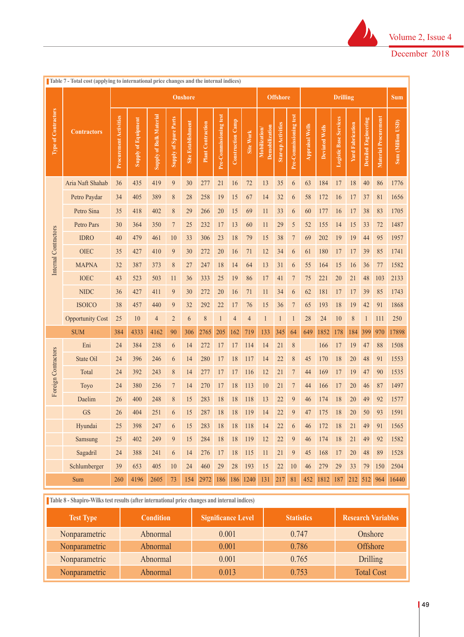

|                      | Table 7 - Total cost (applying to international price changes and the internal indices) |                               |                            |                                |                              |                    |                          |                        |                   |                |                                |                    |                        |                        |                       |                               |                         |                      |                             |                   |
|----------------------|-----------------------------------------------------------------------------------------|-------------------------------|----------------------------|--------------------------------|------------------------------|--------------------|--------------------------|------------------------|-------------------|----------------|--------------------------------|--------------------|------------------------|------------------------|-----------------------|-------------------------------|-------------------------|----------------------|-----------------------------|-------------------|
|                      |                                                                                         |                               |                            |                                |                              | <b>Onshore</b>     |                          |                        |                   |                |                                | <b>Offshore</b>    |                        |                        |                       | <b>Drilling</b>               |                         |                      |                             | <b>Sum</b>        |
| Type of Contractors  | <b>Contractors</b>                                                                      | <b>Procurement Activities</b> | <b>Supply of Equipment</b> | <b>Supply of Bulk Material</b> | <b>Supply of Spare Parts</b> | Site Establishment | <b>Plant Contraction</b> | Pre-Commissioning test | Construction Camp | Site Work      | Demobilization<br>Mobilization | Star-up Activities | Pre-Commissioning test | <b>Appraisal Wells</b> | <b>Deviated Wells</b> | <b>Logistic Base Services</b> | <b>Yard Fabrication</b> | Detailed Engineering | <b>Material Procurement</b> | Sum (Million USD) |
|                      | Aria Naft Shahab                                                                        | 36                            | 435                        | 419                            | $\overline{9}$               | 30                 | 277                      | 21                     | 16                | 72             | 13                             | 35                 | $\boldsymbol{6}$       | 63                     | 184                   | 17                            | 18                      | 40                   | 86                          | 1776              |
|                      | Petro Paydar                                                                            | 34                            | 405                        | 389                            | $\,$ $\,$                    | 28                 | 258                      | 19                     | 15                | 67             | 14                             | 32                 | 6                      | 58                     | 172                   | 16                            | 17                      | 37                   | 81                          | 1656              |
|                      | Petro Sina                                                                              | 35                            | 418                        | 402                            | $\,$ $\,$                    | 29                 | 266                      | 20                     | 15                | 69             | 11                             | 33                 | 6                      | 60                     | 177                   | 16                            | 17                      | 38                   | 83                          | 1705              |
|                      | Petro Pars                                                                              | 30                            | 364                        | 350                            | $\overline{7}$               | 25                 | 232                      | 17                     | 13                | 60             | 11                             | 29                 | 5                      | 52                     | 155                   | 14                            | 15                      | 33                   | 72                          | 1487              |
| Internal Contractors | <b>IDRO</b>                                                                             | 40                            | 479                        | 461                            | 10                           | 33                 | 306                      | 23                     | 18                | 79             | 15                             | 38                 | $\overline{7}$         | 69                     | 202                   | 19                            | 19                      | 44                   | 95                          | 1957              |
|                      | <b>OIEC</b>                                                                             | 35                            | 427                        | 410                            | 9                            | 30                 | 272                      | 20                     | 16                | 71             | 12                             | 34                 | 6                      | 61                     | 180                   | 17                            | 17                      | 39                   | 85                          | 1741              |
|                      | <b>MAPNA</b>                                                                            | 32                            | 387                        | 373                            | $\,8$                        | 27                 | 247                      | 18                     | 14                | 64             | 13                             | 31                 | 6                      | 55                     | 164                   | 15                            | 16                      | 36                   | 77                          | 1582              |
|                      | <b>IOEC</b>                                                                             | 43                            | 523                        | 503                            | 11                           | 36                 | 333                      | 25                     | 19                | 86             | 17                             | 41                 | 7                      | 75                     | 221                   | 20                            | 21                      | 48                   | 103                         | 2133              |
|                      | <b>NIDC</b>                                                                             | 36                            | 427                        | 411                            | $\overline{9}$               | 30                 | 272                      | 20                     | 16                | 71             | 11                             | 34                 | $\boldsymbol{6}$       | 62                     | 181                   | 17                            | 17                      | 39                   | 85                          | 1743              |
|                      | <b>ISOICO</b>                                                                           | 38                            | 457                        | 440                            | 9                            | 32                 | 292                      | 22                     | 17                | 76             | 15                             | 36                 | $\overline{7}$         | 65                     | 193                   | 18                            | 19                      | 42                   | 91                          | 1868              |
|                      | <b>Opportunity Cost</b>                                                                 | 25                            | 10                         | $\overline{4}$                 | $\overline{2}$               | 6                  | 8                        | $\mathbf{1}$           | 4                 | $\overline{4}$ | $\mathbf{1}$                   | $\mathbf{1}$       | $\mathbf{1}$           | 28                     | 24                    | 10                            | $\,$ $\,$               | 1                    | 111                         | 250               |
|                      | <b>SUM</b>                                                                              | 384                           | 4333                       | 4162                           | 90                           | 306                | 2765                     | 205                    | 162               | 719            | 133                            | 345                | 64                     | 649                    | 1852                  | 178                           | 184                     | 399                  | 970                         | 17898             |
|                      | Eni                                                                                     | 24                            | 384                        | 238                            | 6                            | 14                 | 272                      | 17                     | 17                | 114            | 14                             | 21                 | $\,$ $\,$              |                        | 166                   | 17                            | 19                      | 47                   | 88                          | 1508              |
| Foreign Contractors  | State Oil                                                                               | 24                            | 396                        | 246                            | 6                            | 14                 | 280                      | 17                     | 18                | 117            | 14                             | 22                 | $\,$ $\,$              | 45                     | 170                   | 18                            | 20                      | 48                   | 91                          | 1553              |
|                      | Total                                                                                   | 24                            | 392                        | 243                            | $\,8$                        | 14                 | 277                      | 17                     | 17                | 116            | 12                             | 21                 | 7                      | 44                     | 169                   | 17                            | 19                      | 47                   | 90                          | 1535              |
|                      | Toyo                                                                                    | 24                            | 380                        | 236                            | $\overline{7}$               | 14                 | 270                      | 17                     | 18                | 113            | 10                             | 21                 | 7                      | 44                     | 166                   | 17                            | 20                      | 46                   | 87                          | 1497              |
|                      | Daelim                                                                                  | 26                            | 400                        | 248                            | $\,$ $\,$                    | 15                 | 283                      | 18                     | 18                | 118            | 13                             | 22                 | 9                      | 46                     | 174                   | 18                            | 20                      | 49                   | 92                          | 1577              |
|                      | <b>GS</b>                                                                               | 26                            | 404                        | 251                            | 6                            | 15                 | 287                      | 18                     | 18                | 119            | 14                             | 22                 | 9                      | 47                     | 175                   | 18                            | 20                      | 50                   | 93                          | 1591              |
|                      | Hyundai                                                                                 | 25                            | 398                        | 247                            | 6                            | 15                 | 283                      | 18                     | 18                | 118            | 14                             | 22                 | 6                      | 46                     | 172                   | 18                            | 21                      | 49                   | 91                          | 1565              |
|                      | Samsung                                                                                 | 25                            | 402                        | 249                            | $\overline{9}$               | 15                 | 284                      | 18                     | 18                | 119            | 12                             | 22                 | $\boldsymbol{9}$       | 46                     | 174                   | 18                            | 21                      | 49                   | 92                          | 1582              |
|                      | Sagadril                                                                                | 24                            | 388                        | 241                            | $\sqrt{6}$                   | 14                 | 276                      | 17                     | $18\,$            | 115            | 11                             | $21\,$             | $\boldsymbol{9}$       | 45                     | 168                   | 17                            | $20\,$                  | $48\,$               | 89                          | 1528              |
|                      | Schlumberger                                                                            | 39                            | 653                        | 405                            | 10                           | 24                 | 460                      | 29                     | $28\,$            | 193            | 15                             | $22\,$             | 10                     | 46                     | 279                   | 29                            | 33                      | 79                   | 150                         | 2504              |
|                      | Sum                                                                                     | 260                           | 4196                       | 2605                           | 73                           | 154                | 2972                     | 186                    | 186               | 1240           | 131                            | 217                | 81                     | 452                    | 1812                  | 187                           | 212 512                 |                      | 964                         | 16440             |

| <b>Test Type</b> | <b>Condition</b> | <b>Significance Level</b> | <b>Statistics</b> | <b>Research Variables</b> |
|------------------|------------------|---------------------------|-------------------|---------------------------|
| Nonparametric    | Abnormal         | 0.001                     | 0.747             | Onshore                   |
| Nonparametric    | Abnormal         | 0.001                     | 0.786             | <b>Offshore</b>           |
| Nonparametric    | Abnormal         | 0.001                     | 0.765             | <b>Drilling</b>           |
| Nonparametric    | Abnormal         | 0.013                     | 0.753             | <b>Total Cost</b>         |